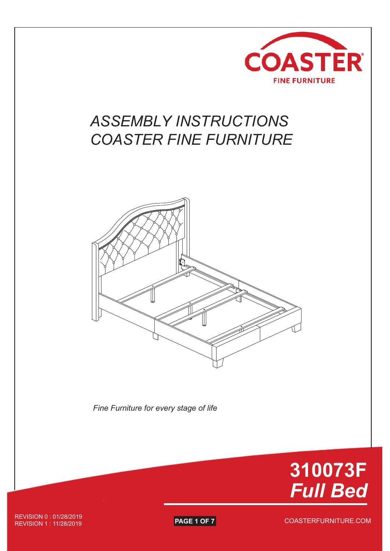

## *ASSEMBLY INSTRUCTIONS COASTER FINE FURNITURE*



*Fine Furniture for every stage of life*



COASTERFURNITURE.COM REVISION 0 : 01/28/2019 **REVISION 1: 11/28/2019**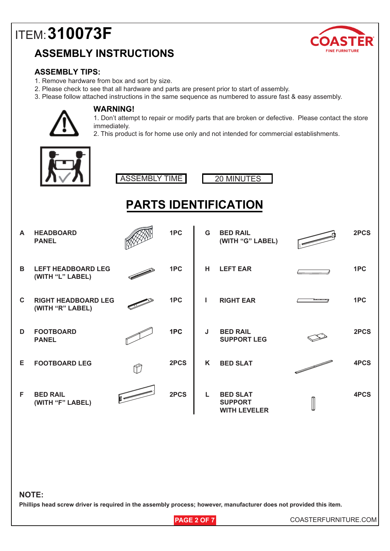### **ASSEMBLY INSTRUCTIONS**



#### **ASSEMBLY TIPS:**

- 1. Remove hardware from box and sort by size.
- 2. Please check to see that all hardware and parts are present prior to start of assembly.
- 3. Please follow attached instructions in the same sequence as numbered to assure fast & easy assembly.



#### **WARNING!**

1. Don't attempt to repair or modify parts that are broken or defective. Please contact the store immediately.

2. This product is for home use only and not intended for commercial establishments.



ASSEMBLY TIME 20 MINUTES



## **PARTS IDENTIFICATION**

| A            | <b>HEADBOARD</b><br><b>PANEL</b>               |   | 1PC  | G | <b>BED RAIL</b><br>(WITH "G" LABEL)                      | 2PCS |
|--------------|------------------------------------------------|---|------|---|----------------------------------------------------------|------|
| B            | <b>LEFT HEADBOARD LEG</b><br>(WITH "L" LABEL)  |   | 1PC  | н | <b>LEFT EAR</b>                                          | 1PC  |
| $\mathbf{C}$ | <b>RIGHT HEADBOARD LEG</b><br>(WITH "R" LABEL) |   | 1PC  |   | <b>RIGHT EAR</b>                                         | 1PC  |
| D            | <b>FOOTBOARD</b><br><b>PANEL</b>               |   | 1PC  | J | <b>BED RAIL</b><br><b>SUPPORT LEG</b>                    | 2PCS |
| Е            | <b>FOOTBOARD LEG</b>                           | Ŷ | 2PCS | K | <b>BED SLAT</b>                                          | 4PCS |
| F            | <b>BED RAIL</b><br>(WITH "F" LABEL)            |   | 2PCS | L | <b>BED SLAT</b><br><b>SUPPORT</b><br><b>WITH LEVELER</b> | 4PCS |

#### **NOTE:**

**Phillips head screw driver is required in the assembly process; however, manufacturer does not provided this item.**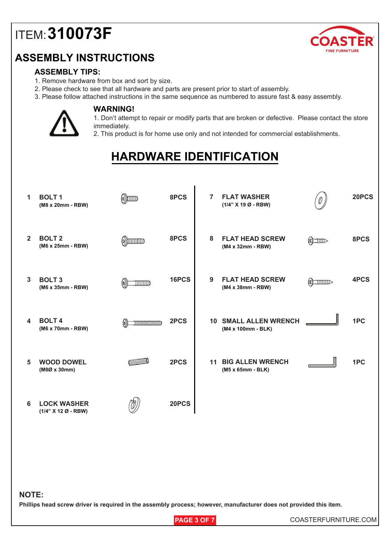### **ASSEMBLY INSTRUCTIONS**



#### **ASSEMBLY TIPS:**

- 1. Remove hardware from box and sort by size.
- 2. Please check to see that all hardware and parts are present prior to start of assembly.
- 3. Please follow attached instructions in the same sequence as numbered to assure fast & easy assembly.



#### **WARNING!**

1. Don't attempt to repair or modify parts that are broken or defective. Please contact the store immediately.

2. This product is for home use only and not intended for commercial establishments.

## **HARDWARE IDENTIFICATION**

I

| 1            | <b>BOLT1</b><br>(M8 x 20mm - RBW)         | $\circledR$                                                                                                                                                                                                                                                                                                                                                                                                                                                                                                                                                                                                                                                                                                                                                                                                                                                                                                                                                                                                                                                                                                                            | 8PCS  | $\overline{7}$ | <b>FLAT WASHER</b><br>(1/4" X 19 Ø - RBW)                                                                          |                  | 20PCS |
|--------------|-------------------------------------------|----------------------------------------------------------------------------------------------------------------------------------------------------------------------------------------------------------------------------------------------------------------------------------------------------------------------------------------------------------------------------------------------------------------------------------------------------------------------------------------------------------------------------------------------------------------------------------------------------------------------------------------------------------------------------------------------------------------------------------------------------------------------------------------------------------------------------------------------------------------------------------------------------------------------------------------------------------------------------------------------------------------------------------------------------------------------------------------------------------------------------------------|-------|----------------|--------------------------------------------------------------------------------------------------------------------|------------------|-------|
| $2^{\circ}$  | <b>BOLT 2</b><br>(M6 x 25mm - RBW)        | $\circ$ ) $\circ$ $\circ$                                                                                                                                                                                                                                                                                                                                                                                                                                                                                                                                                                                                                                                                                                                                                                                                                                                                                                                                                                                                                                                                                                              | 8PCS  | 8              | <b>FLAT HEAD SCREW</b><br>(M4 x 32mm - RBW)                                                                        | $\sum_{i=1}^{n}$ | 8PCS  |
| $\mathbf{3}$ | <b>BOLT 3</b><br>(M6 x 35mm - RBW)        | INNINO<br>$\ket{\omega}$                                                                                                                                                                                                                                                                                                                                                                                                                                                                                                                                                                                                                                                                                                                                                                                                                                                                                                                                                                                                                                                                                                               | 16PCS | 9              | <b>FLAT HEAD SCREW</b><br>(M4 x 38mm - RBW)                                                                        | <b>SLUILLED</b>  | 4PCS  |
| 4            | <b>BOLT4</b><br>(M6 x 70mm - RBW)         | $\begin{minipage}{1.5\linewidth} \begin{tabular}{l} \includegraphics{fig:1000}} \end{tabular} \end{minipage} \caption{The number of different values of the number of different values of the number of different values of the number of different values of the number of different values of the number of different values of the number of different values of the number of different values of the number of different values of the number of different values of the number of different values of the number of different values of the number of different values of the number of different values of the number of different values of the number of different values of the number of different values of the number of different values of the number of different values of the number of different values of the number of different values of the number of different values of the number of different values of the number of different values of the number of different values of the number of different values of the number of different values of the number of different values of the number of different$ | 2PCS  |                | <b>10 SMALL ALLEN WRENCH</b><br>(M4 x 100mm - BLK)                                                                 |                  | 1PC   |
| 5            | <b>WOOD DOWEL</b><br>(M8Ø x 30mm)         |                                                                                                                                                                                                                                                                                                                                                                                                                                                                                                                                                                                                                                                                                                                                                                                                                                                                                                                                                                                                                                                                                                                                        | 2PCS  |                | <b>11 BIG ALLEN WRENCH</b><br>(M5 x 65mm - BLK)                                                                    |                  | 1PC   |
| 6            | <b>LOCK WASHER</b><br>(1/4" X 12 Ø - RBW) |                                                                                                                                                                                                                                                                                                                                                                                                                                                                                                                                                                                                                                                                                                                                                                                                                                                                                                                                                                                                                                                                                                                                        | 20PCS |                |                                                                                                                    |                  |       |
|              |                                           |                                                                                                                                                                                                                                                                                                                                                                                                                                                                                                                                                                                                                                                                                                                                                                                                                                                                                                                                                                                                                                                                                                                                        |       |                |                                                                                                                    |                  |       |
|              |                                           |                                                                                                                                                                                                                                                                                                                                                                                                                                                                                                                                                                                                                                                                                                                                                                                                                                                                                                                                                                                                                                                                                                                                        |       |                |                                                                                                                    |                  |       |
| <b>NOTE:</b> |                                           |                                                                                                                                                                                                                                                                                                                                                                                                                                                                                                                                                                                                                                                                                                                                                                                                                                                                                                                                                                                                                                                                                                                                        |       |                | Phillips head screw driver is required in the assembly process; however, manufacturer does not provided this item. |                  |       |
|              |                                           |                                                                                                                                                                                                                                                                                                                                                                                                                                                                                                                                                                                                                                                                                                                                                                                                                                                                                                                                                                                                                                                                                                                                        |       |                |                                                                                                                    |                  |       |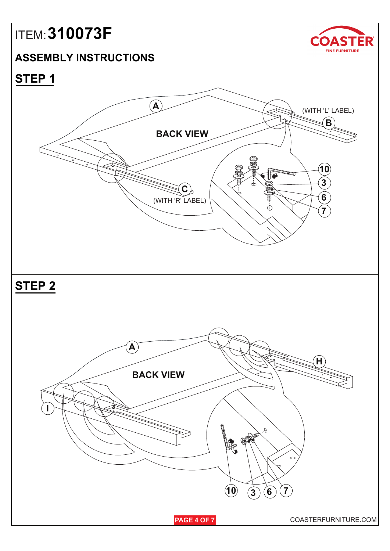#### **ASSEMBLY INSTRUCTIONS**



**STEP 1**

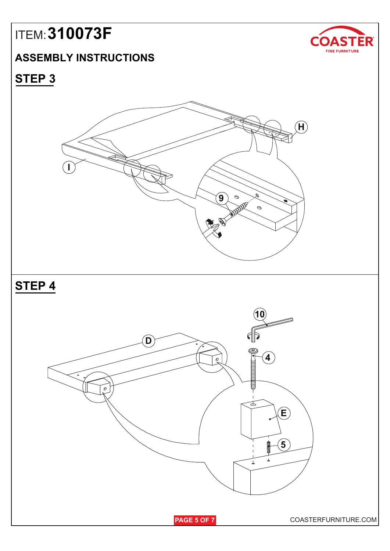### **ASSEMBLY INSTRUCTIONS**



## **STEP 3**

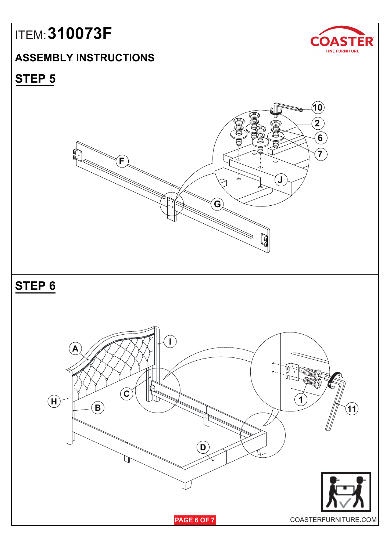### **ASSEMBLY INSTRUCTIONS**



### **STEP 5**

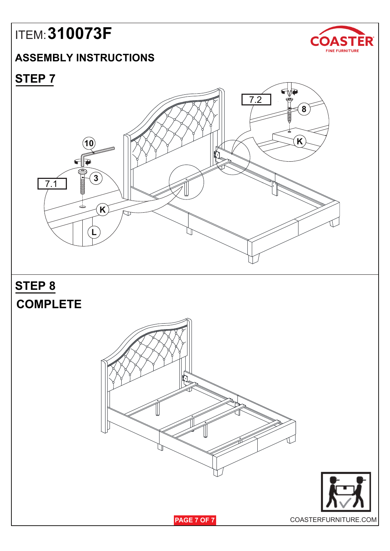### **ASSEMBLY INSTRUCTIONS**



**STEP 7**



**STEP 8**







**PAGE 7 OF 7**